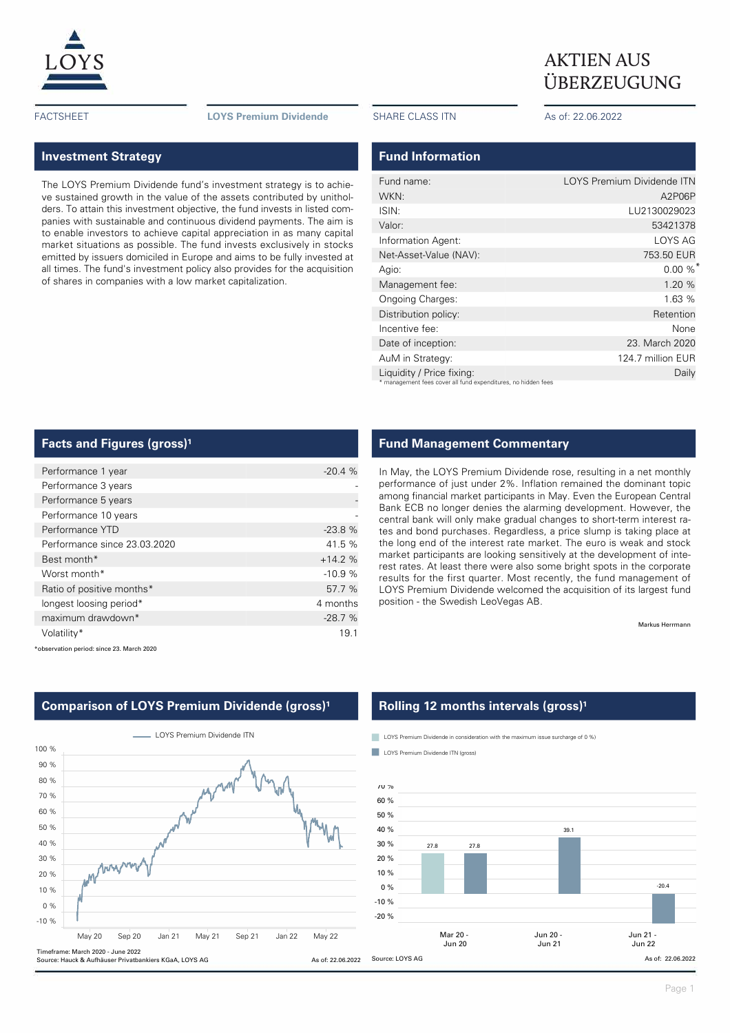

FACTSHEET **LOYS Premium Dividende** SHARE CLASS ITN As of: 22.06.2022

# $\underline{LOYS}$  AKTIEN AUS ÜBERZEUGUNG

### **Investment Strategy**

The LOYS Premium Dividende fund's investment strategy is to achieve sustained growth in the value of the assets contributed by unitholders. To attain this investment objective, the fund invests in listed companies with sustainable and continuous dividend payments. The aim is to enable investors to achieve capital appreciation in as many capital market situations as possible. The fund invests exclusively in stocks emitted by issuers domiciled in Europe and aims to be fully invested at all times. The fund's investment policy also provides for the acquisition of shares in companies with a low market capitalization.

### **Fund Information**

| Fund name:                                                    | LOYS Premium Dividende ITN |
|---------------------------------------------------------------|----------------------------|
| WKN:                                                          | A2P06P                     |
| ISIN:                                                         | LU2130029023               |
| Valor:                                                        | 53421378                   |
| Information Agent:                                            | LOYS AG                    |
| Net-Asset-Value (NAV):                                        | 753.50 EUR                 |
| Agio:                                                         | $0.00 \%$                  |
| Management fee:                                               | 1.20 %                     |
| Ongoing Charges:                                              | 1.63%                      |
| Distribution policy:                                          | Retention                  |
| Incentive fee:                                                | None                       |
| Date of inception:                                            | 23. March 2020             |
| AuM in Strategy:                                              | 124.7 million EUR          |
| Liquidity / Price fixing:                                     | Daily                      |
| * management fees cover all fund expenditures, no hidden fees |                            |

#### **Facts and Figures (gross)<sup>1</sup>**

| Performance 1 year           | $-20.4%$ |
|------------------------------|----------|
| Performance 3 years          |          |
| Performance 5 years          |          |
| Performance 10 years         |          |
| Performance YTD              | $-23.8%$ |
| Performance since 23.03.2020 | 41.5 %   |
| Best month*                  | $+14.2%$ |
| Worst month*                 | $-10.9%$ |
| Ratio of positive months*    | 57.7 %   |
| longest loosing period*      | 4 months |
| maximum drawdown*            | $-28.7%$ |
| Volatility*                  | 19.1     |

## **Fund Management Commentary**

In May, the LOYS Premium Dividende rose, resulting in a net monthly performance of just under 2%. Inflation remained the dominant topic among financial market participants in May. Even the European Central Bank ECB no longer denies the alarming development. However, the central bank will only make gradual changes to short-term interest rates and bond purchases. Regardless, a price slump is taking place at the long end of the interest rate market. The euro is weak and stock market participants are looking sensitively at the development of interest rates. At least there were also some bright spots in the corporate results for the first quarter. Most recently, the fund management of LOYS Premium Dividende welcomed the acquisition of its largest fund position - the Swedish LeoVegas AB.

Markus Herrmann

\*observation period: since 23. March 2020



# **Comparison of LOYS Premium Dividende (gross)<sup>1</sup>**

#### **Rolling 12 months intervals (gross)<sup>1</sup>**

**LOYS** Premium Dividende in consideration with the maximum issue surcharge of 0 %)

**LOYS Premium Dividende ITN (gross)** 

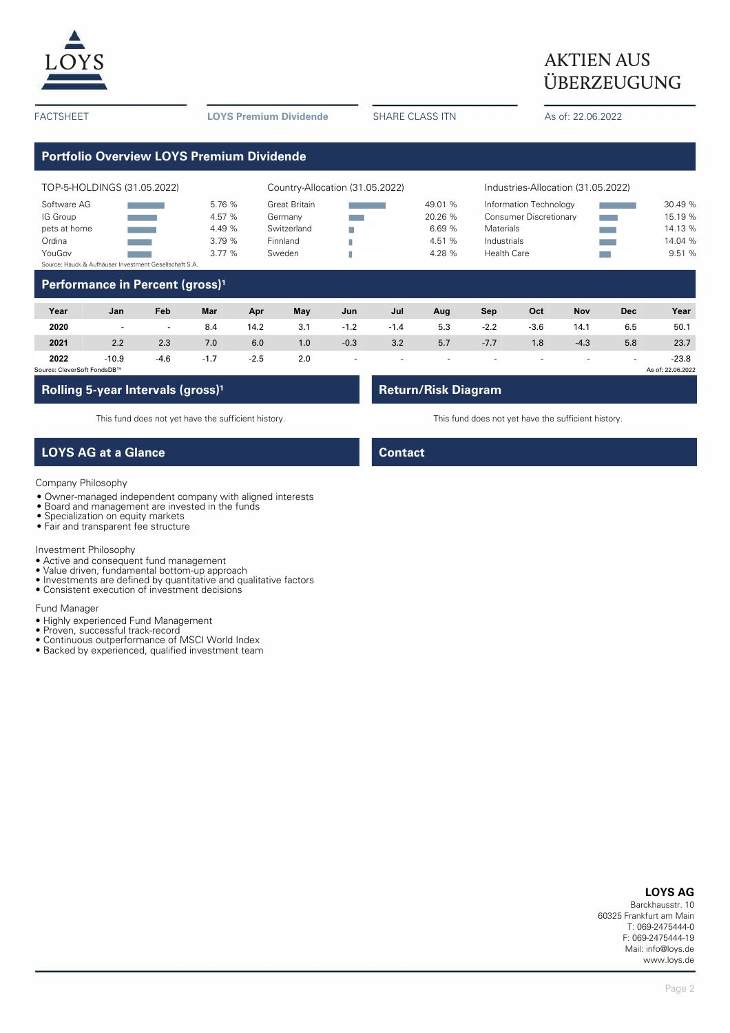

# **AKTIEN AUS** ÜBERZEUGUNG

FACTSHEET **LOYS Premium Dividende** SHARE CLASS ITN As of: 22.06.2022

# **Portfolio Overview LOYS Premium Dividende**

| TOP-5-HOLDINGS (31.05.2022)                            |  |        | Country-Allocation (31.05.2022) |  |         | Industries-Allocation (31.05.2022) |  |         |  |
|--------------------------------------------------------|--|--------|---------------------------------|--|---------|------------------------------------|--|---------|--|
| Software AG                                            |  | 5.76 % | Great Britain                   |  | 49.01 % | Information Technology             |  | 30.49 % |  |
| IG Group                                               |  | 4.57 % | Germany                         |  | 20.26 % | <b>Consumer Discretionary</b>      |  | 15.19 % |  |
| pets at home                                           |  | 4.49 % | Switzerland                     |  | 6.69%   | Materials                          |  | 14.13 % |  |
| Ordina                                                 |  | 3.79%  | Finnland                        |  | 4.51 %  | Industrials                        |  | 14.04 % |  |
| YouGov                                                 |  | 3.77%  | Sweden                          |  | 4.28 %  | Health Care                        |  | 9.51 %  |  |
| Source: Hauck & Aufhäuser Investment Gesellschaft S.A. |  |        |                                 |  |         |                                    |  |         |  |

## **Performance in Percent (gross)<sup>1</sup>**

| Year                        | Jan     | Feb    | Mar    | Apr    | May | Jun    | Jul    | Aug | Sep    | Oct    | <b>Nov</b> | <b>Dec</b> | Year              |
|-----------------------------|---------|--------|--------|--------|-----|--------|--------|-----|--------|--------|------------|------------|-------------------|
| 2020                        | $\sim$  | н.     | 8.4    | 14.2   | 3.1 | $-1.2$ | $-1.4$ | 5.3 | $-2.2$ | $-3.6$ | 14.1       | 6.5        | 50.1              |
| 2021                        | 2.2     | 2.3    | 7.0    | 6.0    | 1.0 | $-0.3$ | 3.2    | 5.7 | $-7.7$ | 1.8    | $-4.3$     | 5.8        | 23.7              |
| 2022                        | $-10.9$ | $-4.6$ | $-1.7$ | $-2.5$ | 2.0 |        |        |     |        |        | . .        |            | $-23.8$           |
| Source: CleverSoft FondsDB™ |         |        |        |        |     |        |        |     |        |        |            |            | As of: 22.06.2022 |

## **Rolling 5-year Intervals (gross)<sup>1</sup> <b>Return/Risk Diagram**

This fund does not yet have the sufficient history. This fund does not yet have the sufficient history.

# **LOYS AG at a Glance Contact Contact**

### Company Philosophy

- Owner-managed independent company with aligned interests
- Board and management are invested in the funds
- Specialization on equity markets
- Fair and transparent fee structure

#### Investment Philosophy

- Active and consequent fund management
- Value driven, fundamental bottom-up approach
- Investments are defined by quantitative and qualitative factors
- Consistent execution of investment decisions

#### Fund Manager

- Highly experienced Fund Management
- Proven, successful track-record
- Continuous outperformance of MSCI World Index
- Backed by experienced, qualified investment team

#### **LOYS AG**

Barckhausstr. 10 60325 Frankfurt am Main T: 069-2475444-0 F: 069-2475444-19 Mail: info@loys.de www.loys.de